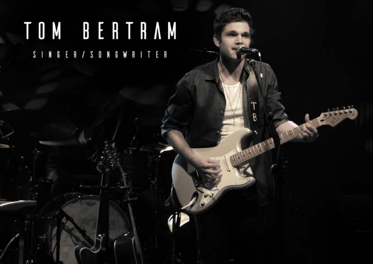# TOM BERTRAM S INGER / SONGWRITER

B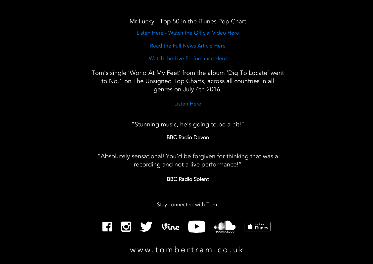### Mr Lucky - Top 50 in the iTunes Pop Chart

[Listen Here](https://soundcloud.com/tombertram91/sets/tom-bertrams-latest-music/s-MhLhh) - [Watch the Official Video Here](https://www.youtube.com/watch?v=lWnQhccJA7Y)

[Read the Full News Article Here](http://www.portsmouth.co.uk/news/watch-meet-portsmouth-s-newest-music-sensation-1-8222673)

[Watch the Live Perfomance Here](https://www.youtube.com/watch?v=Z6I7zhZu-2c&list=PL_mh_FHd-EWTfW6AOV3RSai7HVDQ7krGl)

Tom's single 'World At My Feet' from the album 'Dig To Locate' went to No.1 on The Unsigned Top Charts, across all countries in all genres on July 4th 2016.

#### [Listen Here](https://soundcloud.com/tombertram91/world-at-my-feet-single)

"Stunning music, he's going to be a hit!"

## BBC Radio Devon

"Absolutely sensational! You'd be forgiven for thinking that was a recording and not a live performance!"

BBC Radio Solent

Stay connected with Tom:

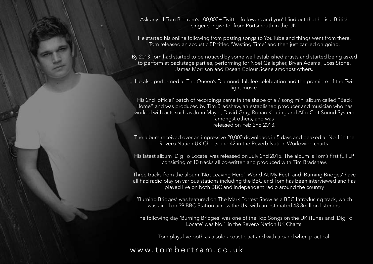Ask any of Tom Bertram's 100,000+ Twitter followers and you'll find out that he is a British singer-songwriter from Portsmouth in the UK.

He started his online following from posting songs to YouTube and things went from there. Tom released an acoustic EP titled 'Wasting Time' and then just carried on going.

By 2013 Tom had started to be noticed by some well established artists and started being asked to perform at backstage parties, performing for Noel Gallagher, Bryan Adams , Joss Stone, James Morrison and Ocean Colour Scene amongst others.

He also performed at The Queen's Diamond Jubilee celebration and the premiere of the Twilight movie.

His 2nd 'official' batch of recordings came in the shape of a 7 song mini album called "Back Home" and was produced by Tim Bradshaw, an established producer and musician who has worked with acts such as John Mayer, David Gray, Ronan Keating and Afro Celt Sound System amongst others, and was released on Feb 2nd 2013.

The album received over an impressive 20,000 downloads in 5 days and peaked at No.1 in the Reverb Nation UK Charts and 42 in the Reverb Nation Worldwide charts.

His latest album 'Dig To Locate' was released on July 2nd 2015. The album is Tom's first full LP, consisting of 10 tracks all co-written and produced with Tim Bradshaw.

Three tracks from the album 'Not Leaving Here' 'World At My Feet' and 'Burning Bridges' have all had radio play on various stations including the BBC and Tom has been interviewed and has played live on both BBC and independent radio around the country

'Burning Bridges' was featured on The Mark Forrest Show as a BBC Introducing track, which was aired on 39 BBC Station across the UK, with an estimated 43.8million listeners.

The following day 'Burning Bridges' was one of the Top Songs on the UK iTunes and 'Dig To Locate' was No.1 in the Reverb Nation UK Charts.

Tom plays live both as a solo acoustic act and with a band when practical.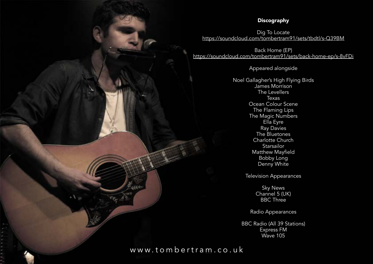#### **Discography**

Dig To Locate <https://soundcloud.com/tombertram91/sets/tbdtl/s-Q39BM>

Back Home (EP) <https://soundcloud.com/tombertram91/sets/back-home-ep/s-8vFDi>

Appeared alongside

Noel Gallagher's High Flying Birds James Morrison The Levellers Texas Ocean Colour Scene The Flaming Lips The Magic Numbers Ella Eyre Ray Davies The Bluetones Charlotte Church **Starsailor** Matthew Mayfield Bobby Long Denny White

Television Appearances

Sky News Channel 5 (UK) BBC Three

Radio Appearances

BBC Radio (All 39 Stations) Express FM Wave 105